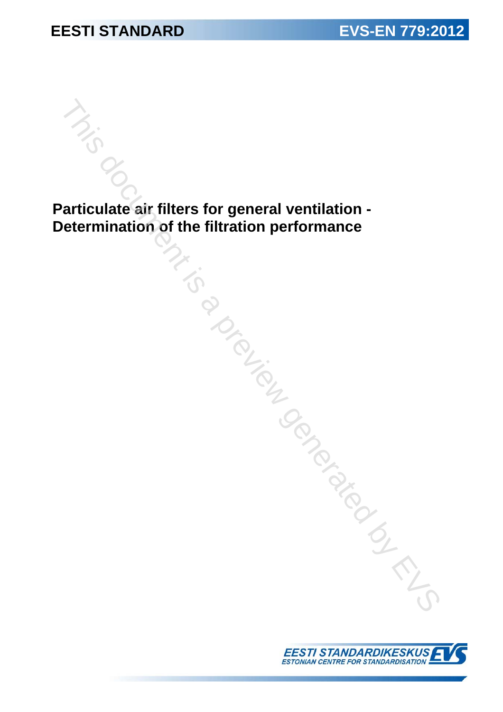## **EESTI STANDARD EVS-EN 779:2012**

**Particulate air filters for general ventilation - Determination of the filtration performance**  This documentation of the filtration performance<br>  $\frac{1}{\sqrt{2}}$ <br>  $\frac{1}{\sqrt{2}}$ <br>  $\frac{1}{\sqrt{2}}$ <br>  $\frac{1}{\sqrt{2}}$ 

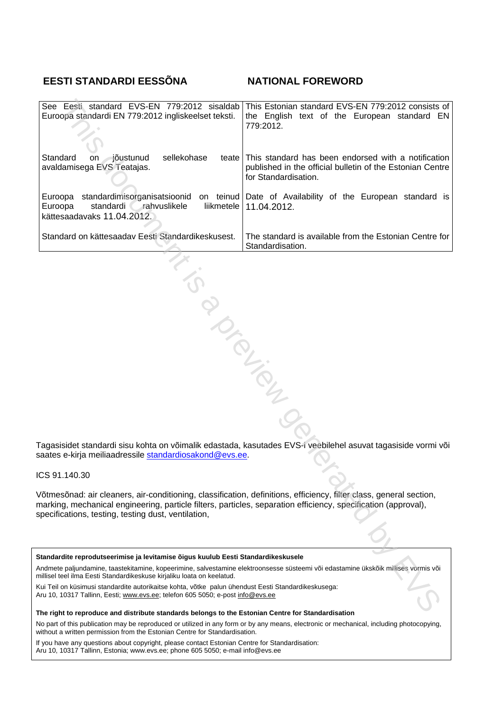### **EESTI STANDARDI EESSÕNA NATIONAL FOREWORD**

| This Estonian standard EVS-EN 779:2012 consists of<br>the English text of the European standard EN<br>779:2012.                                                                                                                                                                              |  |  |  |  |
|----------------------------------------------------------------------------------------------------------------------------------------------------------------------------------------------------------------------------------------------------------------------------------------------|--|--|--|--|
| teate This standard has been endorsed with a notification<br>published in the official bulletin of the Estonian Centre<br>for Standardisation.                                                                                                                                               |  |  |  |  |
| standardimisorganisatsioonid on teinud Date of Availability of the European standard is<br>liikmetele   11.04.2012.                                                                                                                                                                          |  |  |  |  |
| The standard is available from the Estonian Centre for<br>Standardisation.                                                                                                                                                                                                                   |  |  |  |  |
| BISLANDS                                                                                                                                                                                                                                                                                     |  |  |  |  |
| Tagasisidet standardi sisu kohta on võimalik edastada, kasutades EVS-i veebilehel asuvat tagasiside vormi või<br>saates e-kirja meiliaadressile <u>standardiosakond@evs.ee</u> .                                                                                                             |  |  |  |  |
|                                                                                                                                                                                                                                                                                              |  |  |  |  |
| Võtmesõnad: air cleaners, air-conditioning, classification, definitions, efficiency, filter class, general section,<br>marking, mechanical engineering, particle filters, particles, separation efficiency, specification (approval),<br>specifications, testing, testing dust, ventilation, |  |  |  |  |
|                                                                                                                                                                                                                                                                                              |  |  |  |  |
| Standardite reprodutseerimise ja levitamise õigus kuulub Eesti Standardikeskusele<br>Andmete paljundamine, taastekitamine, kopeerimine, salvestamine elektroonsesse süsteemi või edastamine ükskõik millises vormis või                                                                      |  |  |  |  |
| Cui Teil on küsimusi standardite autorikaitse kohta, võtke palun ühendust Eesti Standardikeskusega:<br>\ru 10, 10317 Tallinn, Eesti; <u>www.evs.ee;</u> telefon 605 5050; e-post <u>info@evs.ee</u>                                                                                          |  |  |  |  |
| The right to reproduce and distribute standards belongs to the Estonian Centre for Standardisation                                                                                                                                                                                           |  |  |  |  |

ICS 91.140.30

#### **Standardite reprodutseerimise ja levitamise õigus kuulub Eesti Standardikeskusele**

**The right to reproduce and distribute standards belongs to the Estonian Centre for Standardisation** 

No part of this publication may be reproduced or utilized in any form or by any means, electronic or mechanical, including photocopying, without a written permission from the Estonian Centre for Standardisation.

If you have any questions about copyright, please contact Estonian Centre for Standardisation: Aru 10, 10317 Tallinn, Estonia; www.evs.ee; phone 605 5050; e-mail info@evs.ee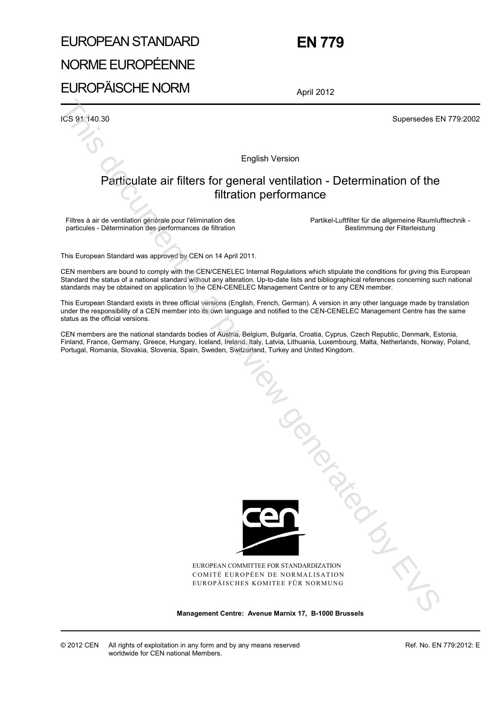## EUROPEAN STANDARD NORME EUROPÉENNE EUROPÄISCHE NORM

 **EN 779** 

April 2012

ICS 91.140.30 Supersedes EN 779:2002

English Version

#### Particulate air filters for general ventilation - Determination of the filtration performance

Filtres à air de ventilation générale pour l'élimination des particules - Détermination des performances de filtration  Partikel-Luftfilter für die allgemeine Raumlufttechnik - Bestimmung der Filterleistung

This European Standard was approved by CEN on 14 April 2011.

CEN members are bound to comply with the CEN/CENELEC Internal Regulations which stipulate the conditions for giving this European Standard the status of a national standard without any alteration. Up-to-date lists and bibliographical references concerning such national standards may be obtained on application to the CEN-CENELEC Management Centre or to any CEN member.

This European Standard exists in three official versions (English, French, German). A version in any other language made by translation under the responsibility of a CEN member into its own language and notified to the CEN-CENELEC Management Centre has the same status as the official versions.

CEN members are the national standards bodies of Austria, Belgium, Bulgaria, Croatia, Cyprus, Czech Republic, Denmark, Estonia, Finland, France, Germany, Greece, Hungary, Iceland, Ireland, Italy, Latvia, Lithuania, Luxembourg, Malta, Netherlands, Norway, Poland, Portugal, Romania, Slovakia, Slovenia, Spain, Sweden, Switzerland, Turkey and United Kingdom.



EUROPEAN COMMITTEE FOR STANDARDIZATION COMITÉ EUROPÉEN DE NORMALISATION EUROPÄISCHES KOMITEE FÜR NORMUNG

**Management Centre: Avenue Marnix 17, B-1000 Brussels** 

© 2012 CEN All rights of exploitation in any form and by any means reserved worldwide for CEN national Members.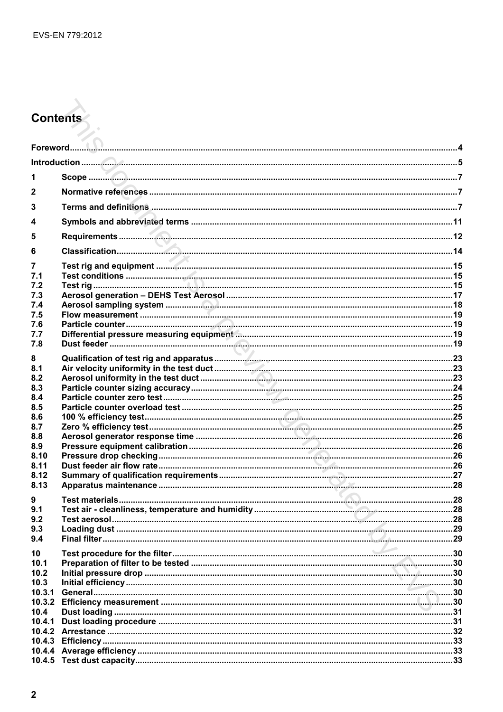# **Contents**

| 1            |                           |  |
|--------------|---------------------------|--|
| $\mathbf{2}$ |                           |  |
| 3            |                           |  |
| 4            |                           |  |
| 5            |                           |  |
|              |                           |  |
| 6            |                           |  |
| 7<br>7.1     |                           |  |
| 7.2          |                           |  |
| 7.3          |                           |  |
| 7.4          |                           |  |
| 7.5          |                           |  |
| 7.6          |                           |  |
| 7.7          |                           |  |
| 7.8          |                           |  |
| 8            |                           |  |
| 8.1          |                           |  |
| 8.2          |                           |  |
| 8.3          |                           |  |
| 8.4          |                           |  |
| 8.5          |                           |  |
| 8.6          |                           |  |
| 8.7          |                           |  |
| 8.8<br>8.9   |                           |  |
| 8.10         |                           |  |
| 8.11         |                           |  |
| 8.12         |                           |  |
| 8.13         |                           |  |
|              |                           |  |
| 9<br>9.1     |                           |  |
| 92           | $\sim$ 28<br>Test aerosol |  |
| 9.3          |                           |  |
| 9.4          |                           |  |
|              |                           |  |
| 10           |                           |  |
| 10.1         |                           |  |
| 10.2<br>10.3 |                           |  |
| 10.3.1       |                           |  |
| 10.3.2       |                           |  |
| 10.4         |                           |  |
| 10.4.1       |                           |  |
|              |                           |  |
| 10.4.3       |                           |  |
| 10.4.4       |                           |  |
| 10.4.5       |                           |  |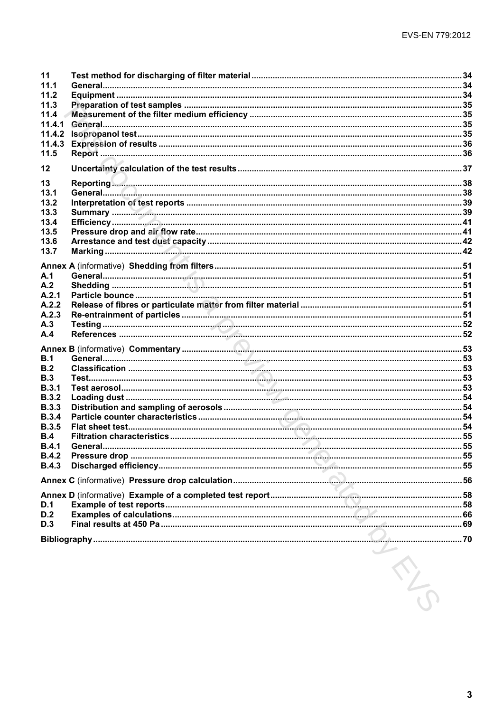| 11           |                                                                                                                                                                                                                                      |  |
|--------------|--------------------------------------------------------------------------------------------------------------------------------------------------------------------------------------------------------------------------------------|--|
| 11.1         |                                                                                                                                                                                                                                      |  |
| 11.2         |                                                                                                                                                                                                                                      |  |
| 11.3         |                                                                                                                                                                                                                                      |  |
| 11.4         |                                                                                                                                                                                                                                      |  |
| 11.4.1       |                                                                                                                                                                                                                                      |  |
| 11.4.2       |                                                                                                                                                                                                                                      |  |
| 11.4.3       |                                                                                                                                                                                                                                      |  |
| 11.5         |                                                                                                                                                                                                                                      |  |
|              |                                                                                                                                                                                                                                      |  |
| 12           |                                                                                                                                                                                                                                      |  |
| 13           | Reporting <b>Commission and Contract Contract Contract Contract Contract Contract Contract Contract Contract Contract Contract Contract Contract Contract Contract Contract Contract Contract Contract Contract Contract Contrac</b> |  |
| 13.1         |                                                                                                                                                                                                                                      |  |
| 13.2         |                                                                                                                                                                                                                                      |  |
| 13.3         |                                                                                                                                                                                                                                      |  |
|              |                                                                                                                                                                                                                                      |  |
| 13.4         |                                                                                                                                                                                                                                      |  |
| 13.5         |                                                                                                                                                                                                                                      |  |
| 13.6         |                                                                                                                                                                                                                                      |  |
| 13.7         |                                                                                                                                                                                                                                      |  |
|              |                                                                                                                                                                                                                                      |  |
| A.1          |                                                                                                                                                                                                                                      |  |
| A.2          |                                                                                                                                                                                                                                      |  |
| A.2.1        |                                                                                                                                                                                                                                      |  |
| A.2.2        |                                                                                                                                                                                                                                      |  |
|              |                                                                                                                                                                                                                                      |  |
| A.2.3        |                                                                                                                                                                                                                                      |  |
| A.3          |                                                                                                                                                                                                                                      |  |
| A.4          |                                                                                                                                                                                                                                      |  |
|              |                                                                                                                                                                                                                                      |  |
| B.1          |                                                                                                                                                                                                                                      |  |
| B.2          |                                                                                                                                                                                                                                      |  |
| B.3          |                                                                                                                                                                                                                                      |  |
| B.3.1        |                                                                                                                                                                                                                                      |  |
| B.3.2        |                                                                                                                                                                                                                                      |  |
| <b>B.3.3</b> |                                                                                                                                                                                                                                      |  |
| <b>B.3.4</b> |                                                                                                                                                                                                                                      |  |
| <b>B.3.5</b> |                                                                                                                                                                                                                                      |  |
|              |                                                                                                                                                                                                                                      |  |
| B.4          |                                                                                                                                                                                                                                      |  |
| B.4.1        |                                                                                                                                                                                                                                      |  |
| <b>B.4.2</b> |                                                                                                                                                                                                                                      |  |
| <b>B.4.3</b> |                                                                                                                                                                                                                                      |  |
|              |                                                                                                                                                                                                                                      |  |
|              |                                                                                                                                                                                                                                      |  |
|              |                                                                                                                                                                                                                                      |  |
| D.1          |                                                                                                                                                                                                                                      |  |
| D.2          |                                                                                                                                                                                                                                      |  |
| D.3          |                                                                                                                                                                                                                                      |  |
|              |                                                                                                                                                                                                                                      |  |
|              |                                                                                                                                                                                                                                      |  |
|              |                                                                                                                                                                                                                                      |  |
|              | R                                                                                                                                                                                                                                    |  |
|              |                                                                                                                                                                                                                                      |  |
|              |                                                                                                                                                                                                                                      |  |
|              |                                                                                                                                                                                                                                      |  |
|              |                                                                                                                                                                                                                                      |  |
|              |                                                                                                                                                                                                                                      |  |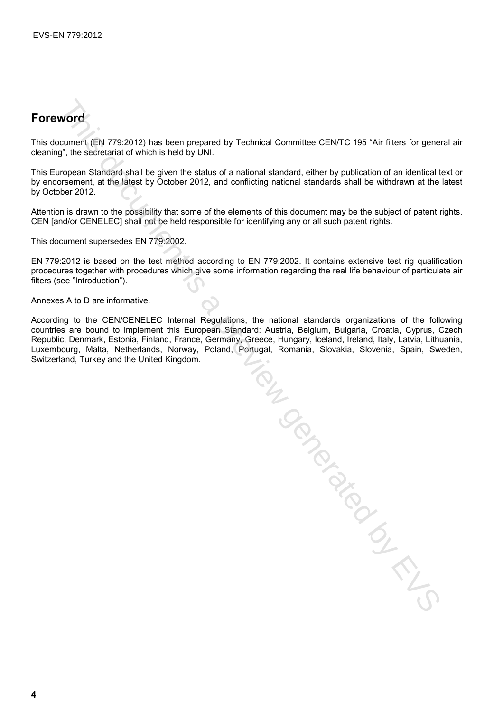## **Foreword**

This document (EN 779:2012) has been prepared by Technical Committee CEN/TC 195 "Air filters for general air cleaning", the secretariat of which is held by UNI.

This European Standard shall be given the status of a national standard, either by publication of an identical text or by endorsement, at the latest by October 2012, and conflicting national standards shall be withdrawn at the latest by October 2012.

Attention is drawn to the possibility that some of the elements of this document may be the subject of patent rights. CEN [and/or CENELEC] shall not be held responsible for identifying any or all such patent rights.

This document supersedes EN 779:2002.

EN 779:2012 is based on the test method according to EN 779:2002. It contains extensive test rig qualification procedures together with procedures which give some information regarding the real life behaviour of particulate air filters (see "Introduction").

Annexes A to D are informative.

According to the CEN/CENELEC Internal Regulations, the national standards organizations of the following countries are bound to implement this European Standard: Austria, Belgium, Bulgaria, Croatia, Cyprus, Czech Republic, Denmark, Estonia, Finland, France, Germany, Greece, Hungary, Iceland, Ireland, Italy, Latvia, Lithuania, Luxembourg, Malta, Netherlands, Norway, Poland, Portugal, Romania, Slovakia, Slovenia, Spain, Sweden, Switzerland, Turkey and the United Kingdom.

TRIK DOCKS INTERNATION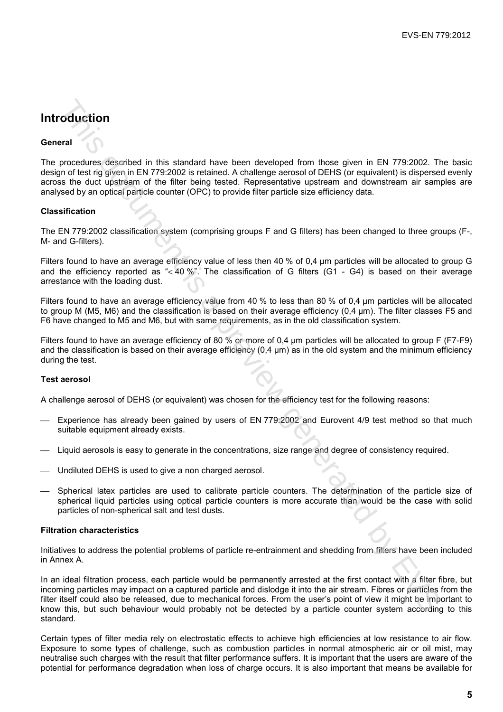## **Introduction**

#### **General**

The procedures described in this standard have been developed from those given in EN 779:2002. The basic design of test rig given in EN 779:2002 is retained. A challenge aerosol of DEHS (or equivalent) is dispersed evenly across the duct upstream of the filter being tested. Representative upstream and downstream air samples are analysed by an optical particle counter (OPC) to provide filter particle size efficiency data.

#### **Classification**

The EN 779:2002 classification system (comprising groups F and G filters) has been changed to three groups (F-, M- and G-filters).

Filters found to have an average efficiency value of less then 40 % of 0,4 µm particles will be allocated to group G and the efficiency reported as "< 40 %". The classification of G filters (G1 - G4) is based on their average arrestance with the loading dust.

Filters found to have an average efficiency value from 40 % to less than 80 % of 0,4 µm particles will be allocated to group M (M5, M6) and the classification is based on their average efficiency (0,4 µm). The filter classes F5 and F6 have changed to M5 and M6, but with same requirements, as in the old classification system.

Filters found to have an average efficiency of 80 % or more of 0.4 um particles will be allocated to group F (F7-F9) and the classification is based on their average efficiency (0.4 µm) as in the old system and the minimum efficiency during the test.

#### **Test aerosol**

A challenge aerosol of DEHS (or equivalent) was chosen for the efficiency test for the following reasons:

- Experience has already been gained by users of EN 779:2002 and Eurovent 4/9 test method so that much suitable equipment already exists.
- Liquid aerosols is easy to generate in the concentrations, size range and degree of consistency required.
- Undiluted DEHS is used to give a non charged aerosol.
- Spherical latex particles are used to calibrate particle counters. The determination of the particle size of spherical liquid particles using optical particle counters is more accurate than would be the case with solid particles of non-spherical salt and test dusts.

#### **Filtration characteristics**

Initiatives to address the potential problems of particle re-entrainment and shedding from filters have been included in Annex A.

In an ideal filtration process, each particle would be permanently arrested at the first contact with a filter fibre, but incoming particles may impact on a captured particle and dislodge it into the air stream. Fibres or particles from the filter itself could also be released, due to mechanical forces. From the user's point of view it might be important to know this, but such behaviour would probably not be detected by a particle counter system according to this standard. orduction<br>
and<br>
and the stational relationship was been developed from those given in EN 779 2002. The<br>
more desting with relative to the streament A, challenge aerosol of DEHS (or equivalent is discrease<br>
site ouclid usi

Certain types of filter media rely on electrostatic effects to achieve high efficiencies at low resistance to air flow. Exposure to some types of challenge, such as combustion particles in normal atmospheric air or oil mist, may neutralise such charges with the result that filter performance suffers. It is important that the users are aware of the potential for performance degradation when loss of charge occurs. It is also important that means be available for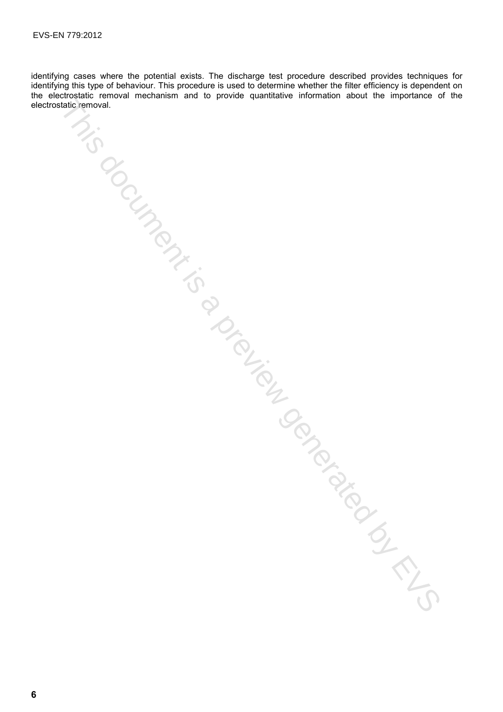identifying cases where the potential exists. The discharge test procedure described provides techniques for identifying this type of behaviour. This procedure is used to determine whether the filter efficiency is dependent on the electrostatic removal mechanism and to provide quantitative information about the importance of the Mis document is a preview generation for